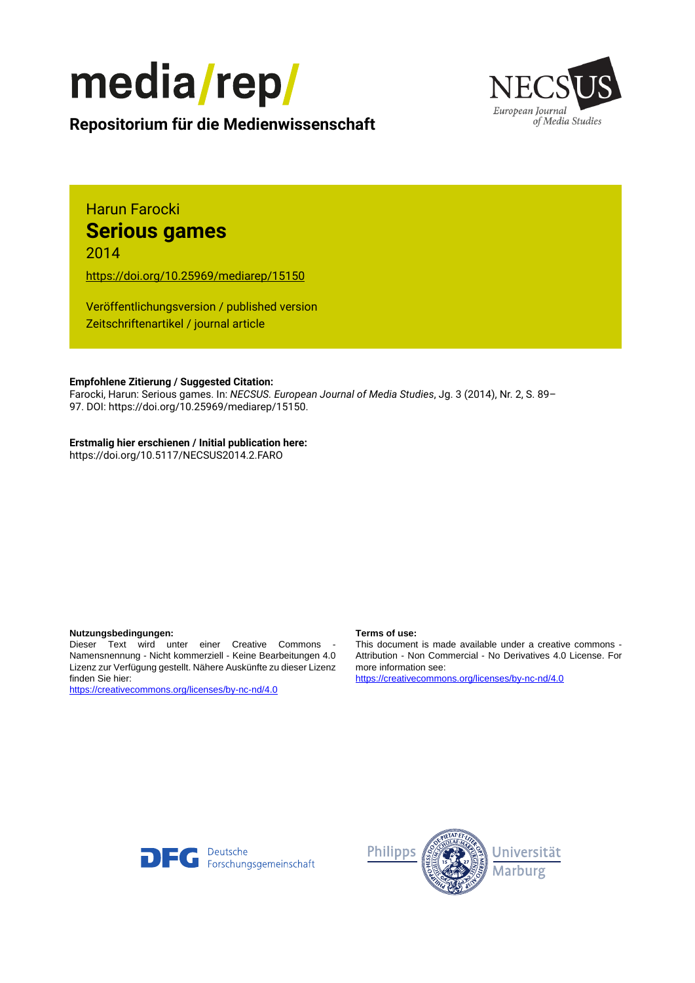



**Repositorium für die [Medienwissenschaft](https://mediarep.org)**

## Harun Farocki **Serious games** 2014

<https://doi.org/10.25969/mediarep/15150>

Veröffentlichungsversion / published version Zeitschriftenartikel / journal article

#### **Empfohlene Zitierung / Suggested Citation:**

Farocki, Harun: Serious games. In: *NECSUS. European Journal of Media Studies*, Jg. 3 (2014), Nr. 2, S. 89– 97. DOI: https://doi.org/10.25969/mediarep/15150.

### **Erstmalig hier erschienen / Initial publication here:**

https://doi.org/10.5117/NECSUS2014.2.FARO

#### **Nutzungsbedingungen: Terms of use:**

Dieser Text wird unter einer Creative Commons - Namensnennung - Nicht kommerziell - Keine Bearbeitungen 4.0 Lizenz zur Verfügung gestellt. Nähere Auskünfte zu dieser Lizenz finden Sie hier:

<https://creativecommons.org/licenses/by-nc-nd/4.0>

This document is made available under a creative commons - Attribution - Non Commercial - No Derivatives 4.0 License. For more information see:

<https://creativecommons.org/licenses/by-nc-nd/4.0>



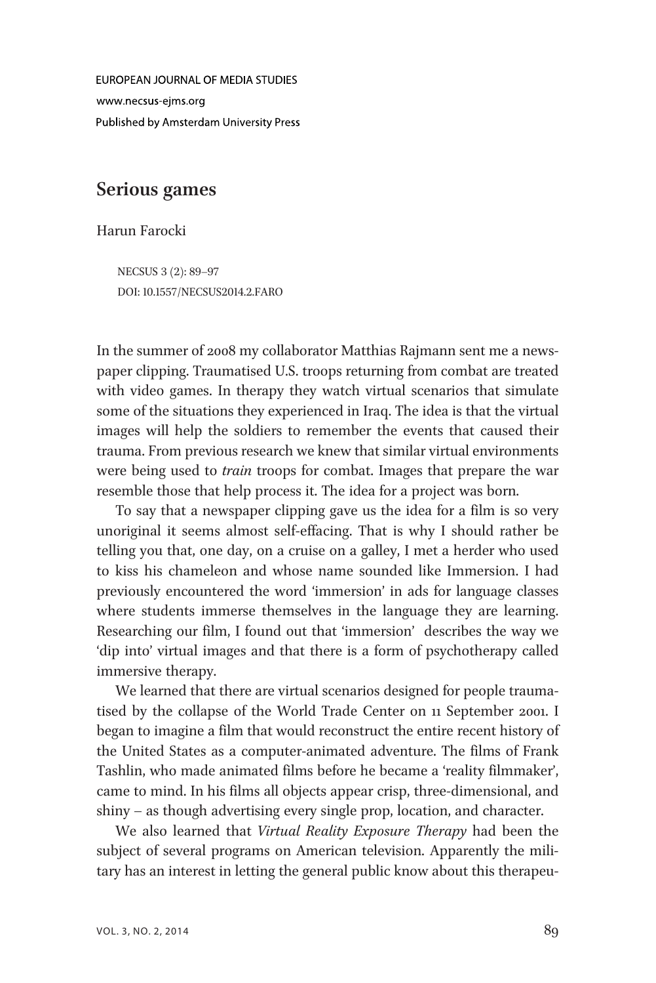**FUROPEAN JOURNAL OF MEDIA STUDIES** www.necsus-eims.org Published by Amsterdam University Press

# Serious games

Harun Farocki

NECSUS 3 (2): 89–97 DOI: 10.1557/NECSUS2014.2.FARO

In the summer of 2008 my collaborator Matthias Rajmann sent me a newspaper clipping. Traumatised U.S. troops returning from combat are treated with video games. In therapy they watch virtual scenarios that simulate some of the situations they experienced in Iraq. The idea is that the virtual images will help the soldiers to remember the events that caused their trauma. From previous research we knew that similar virtual environments were being used to *train* troops for combat. Images that prepare the war resemble those that help process it. The idea for a project was born.

To say that a newspaper clipping gave us the idea for a film is so very unoriginal it seems almost self-effacing. That is why I should rather be telling you that, one day, on a cruise on a galley, I met a herder who used to kiss his chameleon and whose name sounded like Immersion. I had previously encountered the word 'immersion' in ads for language classes where students immerse themselves in the language they are learning. Researching our film, I found out that 'immersion' describes the way we 'dip into' virtual images and that there is a form of psychotherapy called immersive therapy.

We learned that there are virtual scenarios designed for people traumatised by the collapse of the World Trade Center on 11 September 2001. I began to imagine a film that would reconstruct the entire recent history of the United States as a computer-animated adventure. The films of Frank Tashlin, who made animated films before he became a 'reality filmmaker', came to mind. In his films all objects appear crisp, three-dimensional, and shiny – as though advertising every single prop, location, and character.

We also learned that Virtual Reality Exposure Therapy had been the subject of several programs on American television. Apparently the military has an interest in letting the general public know about this therapeu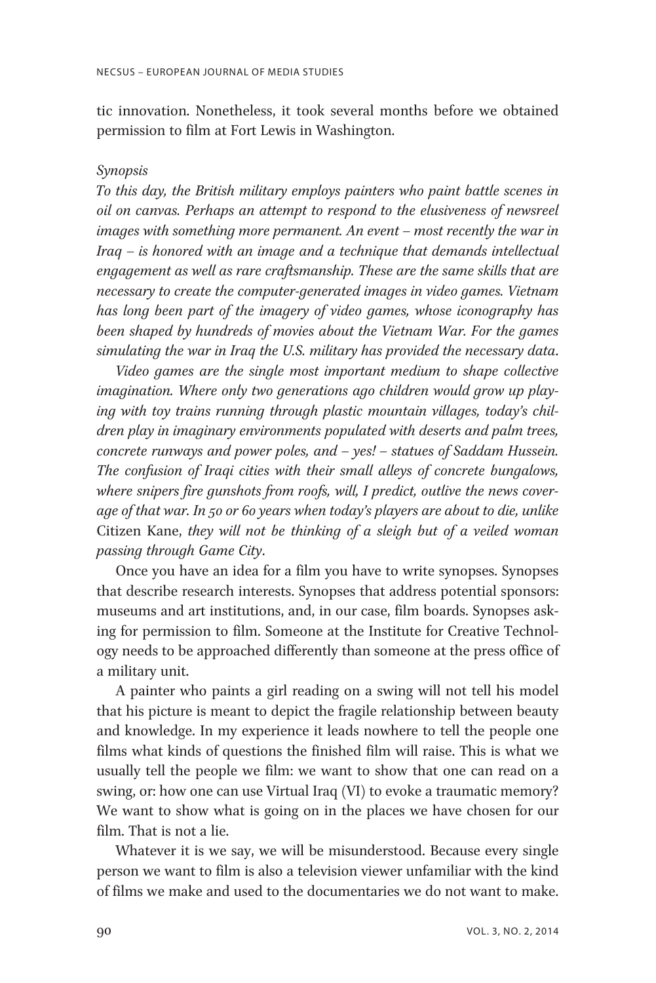tic innovation. Nonetheless, it took several months before we obtained permission to film at Fort Lewis in Washington.

#### Synopsis

To this day, the British military employs painters who paint battle scenes in oil on canvas. Perhaps an attempt to respond to the elusiveness of newsreel images with something more permanent. An event – most recently the war in Iraq – is honored with an image and a technique that demands intellectual engagement as well as rare craftsmanship. These are the same skills that are necessary to create the computer-generated images in video games. Vietnam has long been part of the imagery of video games, whose iconography has been shaped by hundreds of movies about the Vietnam War. For the games simulating the war in Iraq the U.S. military has provided the necessary data.

Video games are the single most important medium to shape collective imagination. Where only two generations ago children would grow up playing with toy trains running through plastic mountain villages, today's children play in imaginary environments populated with deserts and palm trees, concrete runways and power poles, and – yes! – statues of Saddam Hussein. The confusion of Iraqi cities with their small alleys of concrete bungalows, where snipers fire gunshots from roofs, will, I predict, outlive the news coverage of that war. In 50 or 60 years when today's players are about to die, unlike Citizen Kane, they will not be thinking of a sleigh but of a veiled woman passing through Game City.

Once you have an idea for a film you have to write synopses. Synopses that describe research interests. Synopses that address potential sponsors: museums and art institutions, and, in our case, film boards. Synopses asking for permission to film. Someone at the Institute for Creative Technology needs to be approached differently than someone at the press office of a military unit.

A painter who paints a girl reading on a swing will not tell his model that his picture is meant to depict the fragile relationship between beauty and knowledge. In my experience it leads nowhere to tell the people one films what kinds of questions the finished film will raise. This is what we usually tell the people we film: we want to show that one can read on a swing, or: how one can use Virtual Iraq (VI) to evoke a traumatic memory? We want to show what is going on in the places we have chosen for our film. That is not a lie.

Whatever it is we say, we will be misunderstood. Because every single person we want to film is also a television viewer unfamiliar with the kind of films we make and used to the documentaries we do not want to make.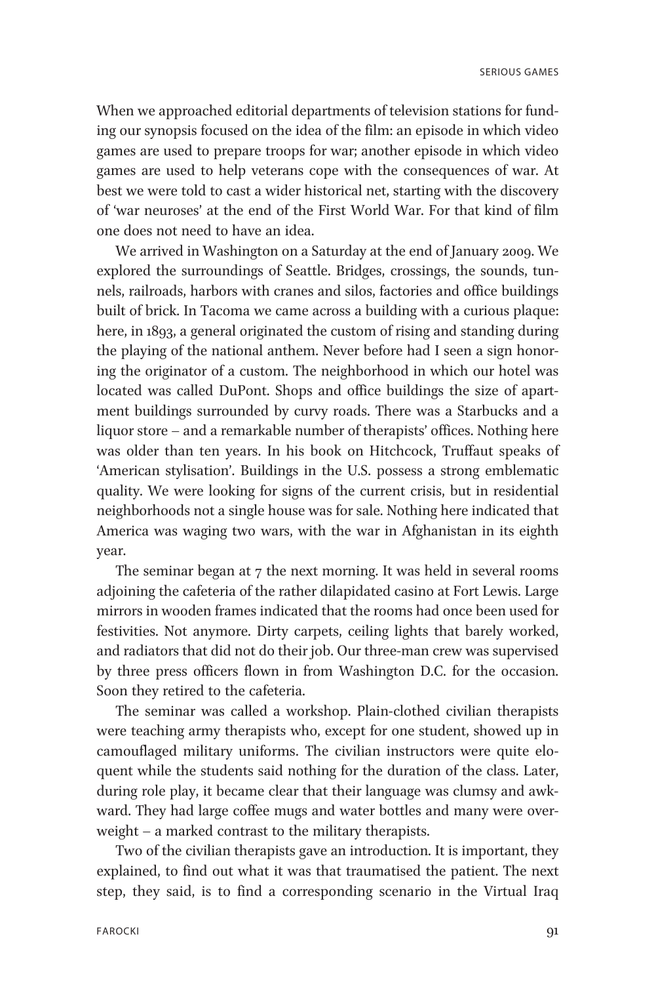**SERIOUS GAMES** 

When we approached editorial departments of television stations for funding our synopsis focused on the idea of the film: an episode in which video games are used to prepare troops for war; another episode in which video games are used to help veterans cope with the consequences of war. At best we were told to cast a wider historical net, starting with the discovery of 'war neuroses' at the end of the First World War. For that kind of film one does not need to have an idea.

We arrived in Washington on a Saturday at the end of January 2009. We explored the surroundings of Seattle. Bridges, crossings, the sounds, tunnels, railroads, harbors with cranes and silos, factories and office buildings built of brick. In Tacoma we came across a building with a curious plaque: here, in 1893, a general originated the custom of rising and standing during the playing of the national anthem. Never before had I seen a sign honoring the originator of a custom. The neighborhood in which our hotel was located was called DuPont. Shops and office buildings the size of apartment buildings surrounded by curvy roads. There was a Starbucks and a liquor store – and a remarkable number of therapists' offices. Nothing here was older than ten years. In his book on Hitchcock, Truffaut speaks of 'American stylisation'. Buildings in the U.S. possess a strong emblematic quality. We were looking for signs of the current crisis, but in residential neighborhoods not a single house was for sale. Nothing here indicated that America was waging two wars, with the war in Afghanistan in its eighth year.

The seminar began at  $7$  the next morning. It was held in several rooms adjoining the cafeteria of the rather dilapidated casino at Fort Lewis. Large mirrors in wooden frames indicated that the rooms had once been used for festivities. Not anymore. Dirty carpets, ceiling lights that barely worked, and radiators that did not do their job. Our three-man crew was supervised by three press officers flown in from Washington D.C. for the occasion. Soon they retired to the cafeteria.

The seminar was called a workshop. Plain-clothed civilian therapists were teaching army therapists who, except for one student, showed up in camouflaged military uniforms. The civilian instructors were quite eloquent while the students said nothing for the duration of the class. Later, during role play, it became clear that their language was clumsy and awkward. They had large coffee mugs and water bottles and many were overweight – a marked contrast to the military therapists.

Two of the civilian therapists gave an introduction. It is important, they explained, to find out what it was that traumatised the patient. The next step, they said, is to find a corresponding scenario in the Virtual Iraq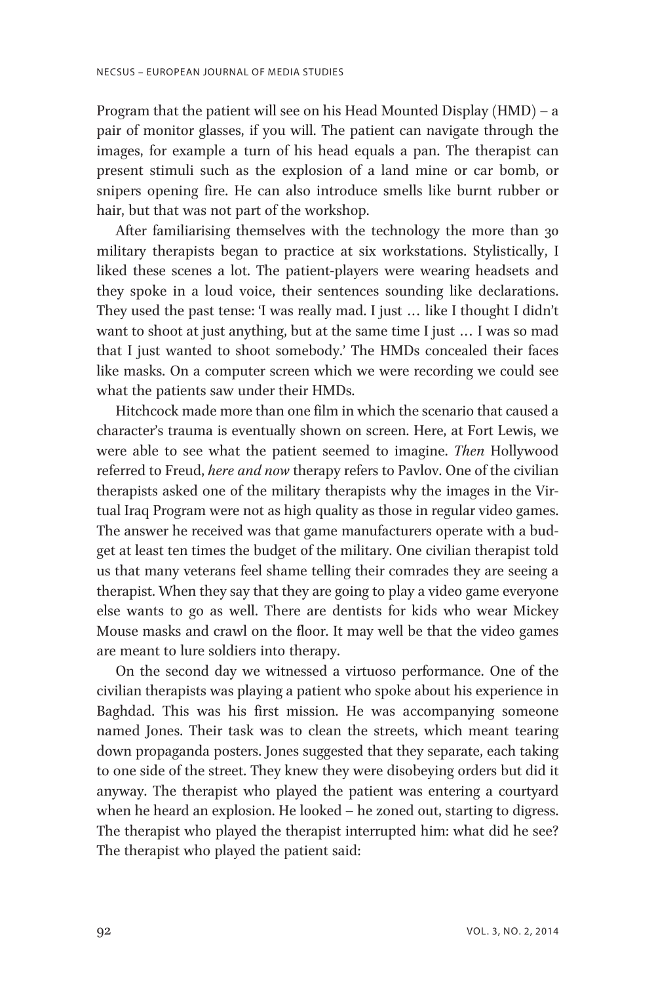Program that the patient will see on his Head Mounted Display (HMD) – a pair of monitor glasses, if you will. The patient can navigate through the images, for example a turn of his head equals a pan. The therapist can present stimuli such as the explosion of a land mine or car bomb, or snipers opening fire. He can also introduce smells like burnt rubber or hair, but that was not part of the workshop.

After familiarising themselves with the technology the more than 30 military therapists began to practice at six workstations. Stylistically, I liked these scenes a lot. The patient-players were wearing headsets and they spoke in a loud voice, their sentences sounding like declarations. They used the past tense: 'I was really mad. I just ... like I thought I didn't want to shoot at just anything, but at the same time I just ... I was so mad that I just wanted to shoot somebody.' The HMDs concealed their faces like masks. On a computer screen which we were recording we could see what the patients saw under their HMDs.

Hitchcock made more than one film in which the scenario that caused a character's trauma is eventually shown on screen. Here, at Fort Lewis, we were able to see what the patient seemed to imagine. Then Hollywood referred to Freud, here and now therapy refers to Pavlov. One of the civilian therapists asked one of the military therapists why the images in the Virtual Iraq Program were not as high quality as those in regular video games. The answer he received was that game manufacturers operate with a budget at least ten times the budget of the military. One civilian therapist told us that many veterans feel shame telling their comrades they are seeing a therapist. When they say that they are going to play a video game everyone else wants to go as well. There are dentists for kids who wear Mickey Mouse masks and crawl on the floor. It may well be that the video games are meant to lure soldiers into therapy.

On the second day we witnessed a virtuoso performance. One of the civilian therapists was playing a patient who spoke about his experience in Baghdad. This was his first mission. He was accompanying someone named Jones. Their task was to clean the streets, which meant tearing down propaganda posters. Jones suggested that they separate, each taking to one side of the street. They knew they were disobeying orders but did it anyway. The therapist who played the patient was entering a courtyard when he heard an explosion. He looked – he zoned out, starting to digress. The therapist who played the therapist interrupted him: what did he see? The therapist who played the patient said: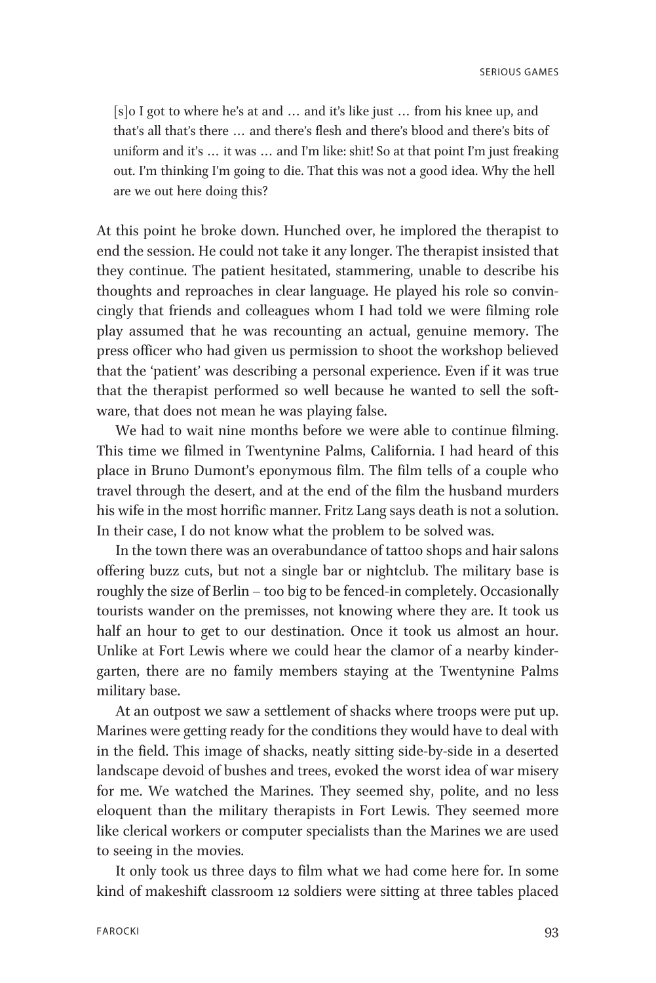[s]o I got to where he's at and ... and it's like just ... from his knee up, and that's all that's there ... and there's flesh and there's blood and there's bits of uniform and it's ... it was ... and I'm like: shit! So at that point I'm just freaking out. I'm thinking I'm going to die. That this was not a good idea. Why the hell are we out here doing this?

At this point he broke down. Hunched over, he implored the therapist to end the session. He could not take it any longer. The therapist insisted that they continue. The patient hesitated, stammering, unable to describe his thoughts and reproaches in clear language. He played his role so convincingly that friends and colleagues whom I had told we were filming role play assumed that he was recounting an actual, genuine memory. The press officer who had given us permission to shoot the workshop believed that the 'patient' was describing a personal experience. Even if it was true that the therapist performed so well because he wanted to sell the software, that does not mean he was playing false.

We had to wait nine months before we were able to continue filming. This time we filmed in Twentynine Palms, California. I had heard of this place in Bruno Dumont's eponymous film. The film tells of a couple who travel through the desert, and at the end of the film the husband murders his wife in the most horrific manner. Fritz Lang says death is not a solution. In their case, I do not know what the problem to be solved was.

In the town there was an overabundance of tattoo shops and hair salons offering buzz cuts, but not a single bar or nightclub. The military base is roughly the size of Berlin – too big to be fenced-in completely. Occasionally tourists wander on the premisses, not knowing where they are. It took us half an hour to get to our destination. Once it took us almost an hour. Unlike at Fort Lewis where we could hear the clamor of a nearby kindergarten, there are no family members staying at the Twentynine Palms military base.

At an outpost we saw a settlement of shacks where troops were put up. Marines were getting ready for the conditions they would have to deal with in the field. This image of shacks, neatly sitting side-by-side in a deserted landscape devoid of bushes and trees, evoked the worst idea of war misery for me. We watched the Marines. They seemed shy, polite, and no less eloquent than the military therapists in Fort Lewis. They seemed more like clerical workers or computer specialists than the Marines we are used to seeing in the movies.

It only took us three days to film what we had come here for. In some kind of makeshift classroom 12 soldiers were sitting at three tables placed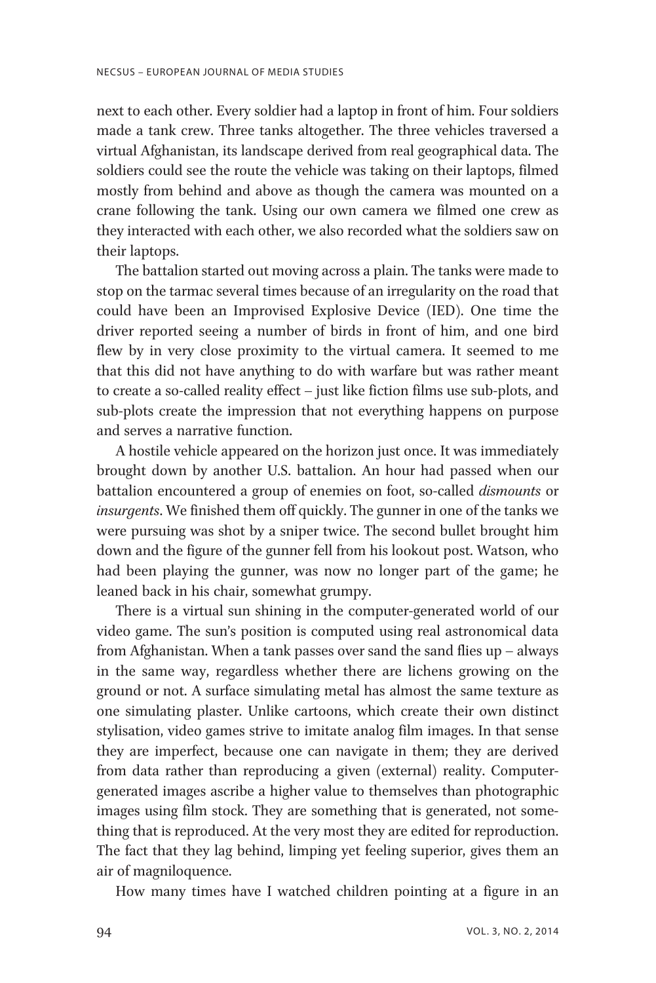next to each other. Every soldier had a laptop in front of him. Four soldiers made a tank crew. Three tanks altogether. The three vehicles traversed a virtual Afghanistan, its landscape derived from real geographical data. The soldiers could see the route the vehicle was taking on their laptops, filmed mostly from behind and above as though the camera was mounted on a crane following the tank. Using our own camera we filmed one crew as they interacted with each other, we also recorded what the soldiers saw on their laptops.

The battalion started out moving across a plain. The tanks were made to stop on the tarmac several times because of an irregularity on the road that could have been an Improvised Explosive Device (IED). One time the driver reported seeing a number of birds in front of him, and one bird flew by in very close proximity to the virtual camera. It seemed to me that this did not have anything to do with warfare but was rather meant to create a so-called reality effect – just like fiction films use sub-plots, and sub-plots create the impression that not everything happens on purpose and serves a narrative function.

A hostile vehicle appeared on the horizon just once. It was immediately brought down by another U.S. battalion. An hour had passed when our battalion encountered a group of enemies on foot, so-called dismounts or insurgents. We finished them off quickly. The gunner in one of the tanks we were pursuing was shot by a sniper twice. The second bullet brought him down and the figure of the gunner fell from his lookout post. Watson, who had been playing the gunner, was now no longer part of the game; he leaned back in his chair, somewhat grumpy.

There is a virtual sun shining in the computer-generated world of our video game. The sun's position is computed using real astronomical data from Afghanistan. When a tank passes over sand the sand flies up – always in the same way, regardless whether there are lichens growing on the ground or not. A surface simulating metal has almost the same texture as one simulating plaster. Unlike cartoons, which create their own distinct stylisation, video games strive to imitate analog film images. In that sense they are imperfect, because one can navigate in them; they are derived from data rather than reproducing a given (external) reality. Computergenerated images ascribe a higher value to themselves than photographic images using film stock. They are something that is generated, not something that is reproduced. At the very most they are edited for reproduction. The fact that they lag behind, limping yet feeling superior, gives them an air of magniloquence.

How many times have I watched children pointing at a figure in an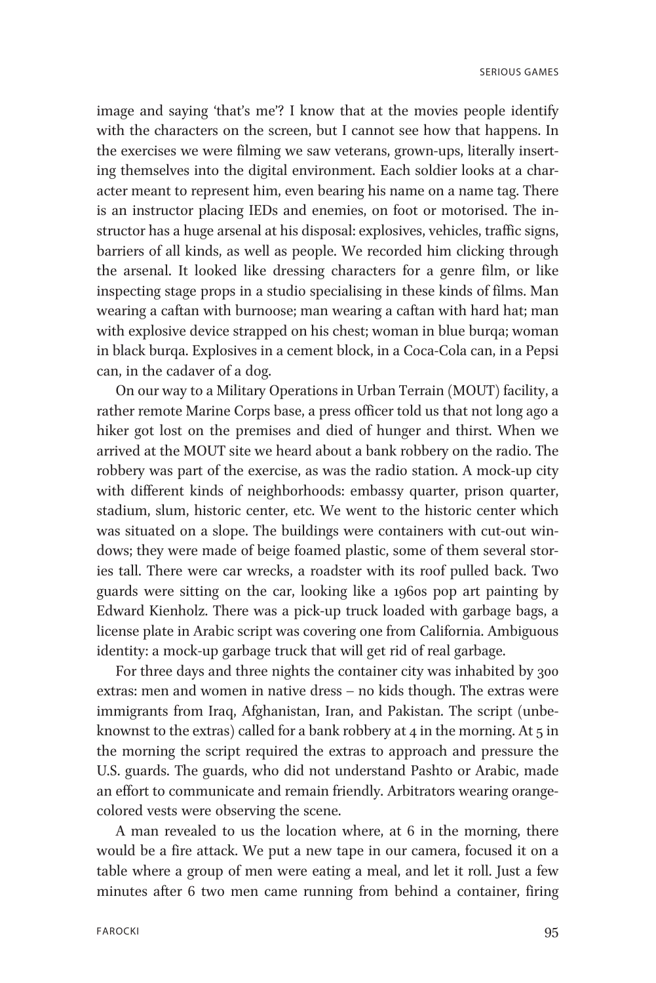**SERIOUS GAMES** 

image and saying 'that's me'? I know that at the movies people identify with the characters on the screen, but I cannot see how that happens. In the exercises we were filming we saw veterans, grown-ups, literally inserting themselves into the digital environment. Each soldier looks at a character meant to represent him, even bearing his name on a name tag. There is an instructor placing IEDs and enemies, on foot or motorised. The instructor has a huge arsenal at his disposal: explosives, vehicles, traffic signs, barriers of all kinds, as well as people. We recorded him clicking through the arsenal. It looked like dressing characters for a genre film, or like inspecting stage props in a studio specialising in these kinds of films. Man wearing a caftan with burnoose; man wearing a caftan with hard hat; man with explosive device strapped on his chest; woman in blue burqa; woman in black burqa. Explosives in a cement block, in a Coca-Cola can, in a Pepsi can, in the cadaver of a dog.

On our way to a Military Operations in Urban Terrain (MOUT) facility, a rather remote Marine Corps base, a press officer told us that not long ago a hiker got lost on the premises and died of hunger and thirst. When we arrived at the MOUT site we heard about a bank robbery on the radio. The robbery was part of the exercise, as was the radio station. A mock-up city with different kinds of neighborhoods: embassy quarter, prison quarter, stadium, slum, historic center, etc. We went to the historic center which was situated on a slope. The buildings were containers with cut-out windows; they were made of beige foamed plastic, some of them several stories tall. There were car wrecks, a roadster with its roof pulled back. Two guards were sitting on the car, looking like a 1960s pop art painting by Edward Kienholz. There was a pick-up truck loaded with garbage bags, a license plate in Arabic script was covering one from California. Ambiguous identity: a mock-up garbage truck that will get rid of real garbage.

For three days and three nights the container city was inhabited by 300 extras: men and women in native dress – no kids though. The extras were immigrants from Iraq, Afghanistan, Iran, and Pakistan. The script (unbeknownst to the extras) called for a bank robbery at  $4$  in the morning. At  $5$  in the morning the script required the extras to approach and pressure the U.S. guards. The guards, who did not understand Pashto or Arabic, made an effort to communicate and remain friendly. Arbitrators wearing orangecolored vests were observing the scene.

A man revealed to us the location where, at 6 in the morning, there would be a fire attack. We put a new tape in our camera, focused it on a table where a group of men were eating a meal, and let it roll. Just a few minutes after 6 two men came running from behind a container, firing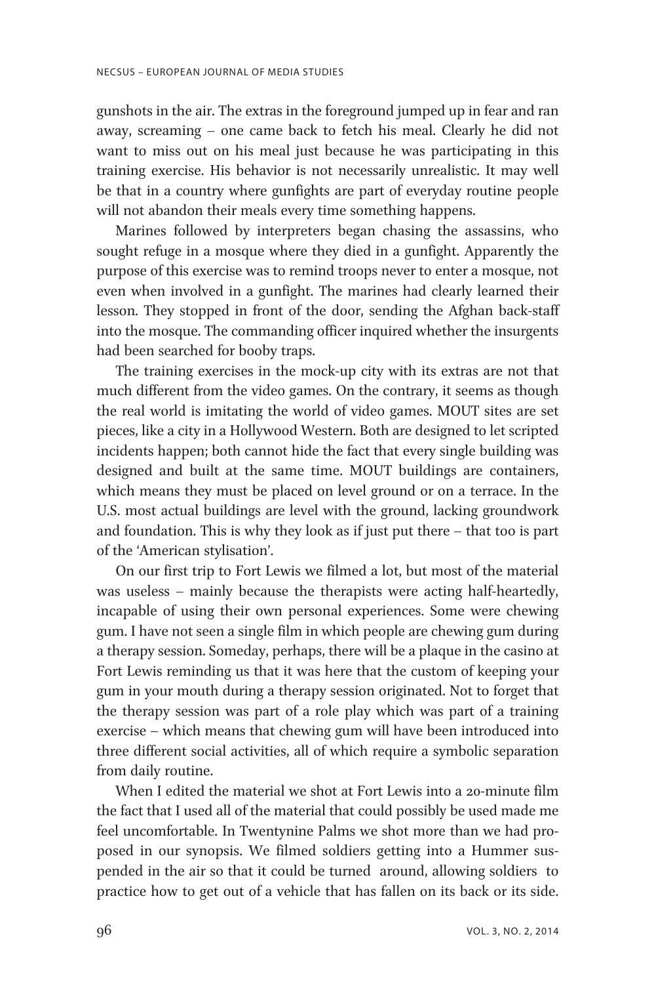gunshots in the air. The extras in the foreground jumped up in fear and ran away, screaming – one came back to fetch his meal. Clearly he did not want to miss out on his meal just because he was participating in this training exercise. His behavior is not necessarily unrealistic. It may well be that in a country where gunfights are part of everyday routine people will not abandon their meals every time something happens.

Marines followed by interpreters began chasing the assassins, who sought refuge in a mosque where they died in a gunfight. Apparently the purpose of this exercise was to remind troops never to enter a mosque, not even when involved in a gunfight. The marines had clearly learned their lesson. They stopped in front of the door, sending the Afghan back-staff into the mosque. The commanding officer inquired whether the insurgents had been searched for booby traps.

The training exercises in the mock-up city with its extras are not that much different from the video games. On the contrary, it seems as though the real world is imitating the world of video games. MOUT sites are set pieces, like a city in a Hollywood Western. Both are designed to let scripted incidents happen; both cannot hide the fact that every single building was designed and built at the same time. MOUT buildings are containers, which means they must be placed on level ground or on a terrace. In the U.S. most actual buildings are level with the ground, lacking groundwork and foundation. This is why they look as if just put there – that too is part of the 'American stylisation'.

On our first trip to Fort Lewis we filmed a lot, but most of the material was useless – mainly because the therapists were acting half-heartedly, incapable of using their own personal experiences. Some were chewing gum. I have not seen a single film in which people are chewing gum during a therapy session. Someday, perhaps, there will be a plaque in the casino at Fort Lewis reminding us that it was here that the custom of keeping your gum in your mouth during a therapy session originated. Not to forget that the therapy session was part of a role play which was part of a training exercise – which means that chewing gum will have been introduced into three different social activities, all of which require a symbolic separation from daily routine.

When I edited the material we shot at Fort Lewis into a 20-minute film the fact that I used all of the material that could possibly be used made me feel uncomfortable. In Twentynine Palms we shot more than we had proposed in our synopsis. We filmed soldiers getting into a Hummer suspended in the air so that it could be turned around, allowing soldiers to practice how to get out of a vehicle that has fallen on its back or its side.